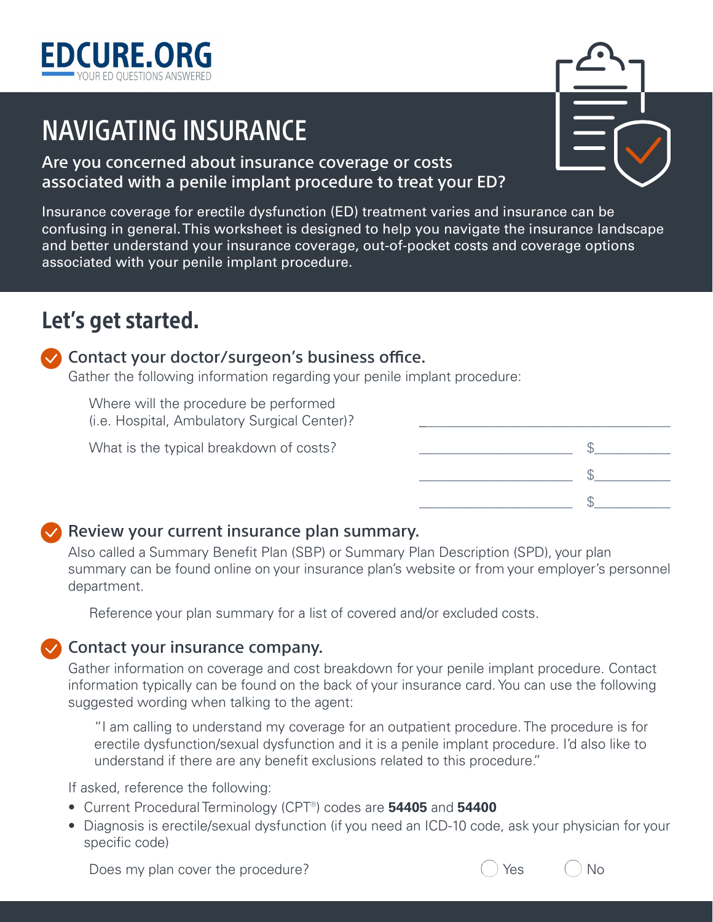

# NAVIGATING INSURANCE

#### Are you concerned about insurance coverage or costs associated with a penile implant procedure to treat your ED?

Insurance coverage for erectile dysfunction (ED) treatment varies and insurance can be confusing in general. This worksheet is designed to help you navigate the insurance landscape and better understand your insurance coverage, out-of-pocket costs and coverage options associated with your penile implant procedure.

## Let's get started.

#### $\vee$  Contact your doctor/surgeon's business office.

Gather the following information regarding your penile implant procedure:

Where will the procedure be performed (i.e. Hospital, Ambulatory Surgical Center)?

| (i.e. Hospital, Ambulatory Surgical Center)? |  |
|----------------------------------------------|--|
| What is the typical breakdown of costs?      |  |
|                                              |  |
|                                              |  |

#### $\vee$  Review your current insurance plan summary.

Also called a Summary Benefit Plan (SBP) or Summary Plan Description (SPD), your plan summary can be found online on your insurance plan's website or from your employer's personnel department.

Reference your plan summary for a list of covered and/or excluded costs.

#### $\vee$  Contact your insurance company.

Gather information on coverage and cost breakdown for your penile implant procedure. Contact information typically can be found on the back of your insurance card. You can use the following suggested wording when talking to the agent:

"I am calling to understand my coverage for an outpatient procedure. The procedure is for erectile dysfunction/sexual dysfunction and it is a penile implant procedure. I'd also like to understand if there are any benefit exclusions related to this procedure."

If asked, reference the following:

- Current Procedural Terminology (CPT®) codes are **54405** and **54400**
- Diagnosis is erectile/sexual dysfunction (if you need an ICD-10 code, ask your physician for your specific code)

Does my plan cover the procedure? Contact Contact Contact Contact Contact Contact Contact Contact Contact Conta